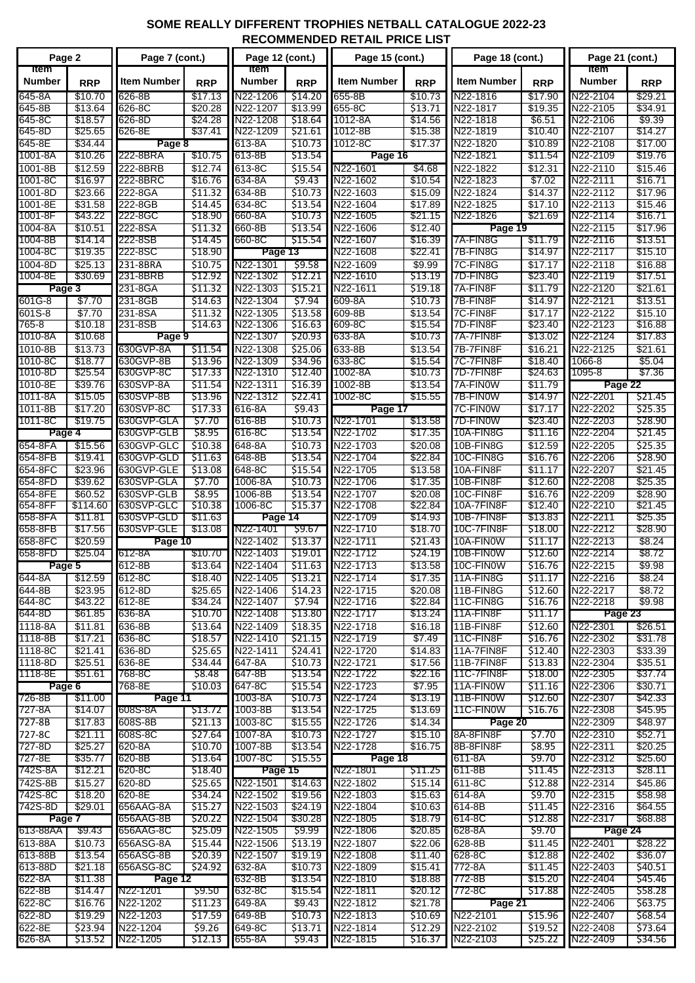## **SOME REALLY DIFFERENT TROPHIES NETBALL CATALOGUE 2022-23 RECOMMENDED RETAIL PRICE LIST**

| Page 2                       |                    | Page 7 (cont.)           |                    | Page 12 (cont.)      |                    | Page 15 (cont.)      |                    | Page 18 (cont.)          |                    | Page 21 (cont.)                           |                    |
|------------------------------|--------------------|--------------------------|--------------------|----------------------|--------------------|----------------------|--------------------|--------------------------|--------------------|-------------------------------------------|--------------------|
| <b>Item</b><br><b>Number</b> | <b>RRP</b>         | <b>Item Number</b>       | <b>RRP</b>         | Item<br>Number       | <b>RRP</b>         | <b>Item Number</b>   | <b>RRP</b>         | <b>Item Number</b>       | <b>RRP</b>         | ltem<br>Number                            | <b>RRP</b>         |
| 645-8A                       | \$10.70            | 626-8B                   | \$17.13            | N22-1206             | \$14.20            | 655-8B               | \$10.73            | N22-1816                 | \$17.90            | N22-2104                                  | \$29.21            |
| 645-8B                       | \$13.64            | 626-8C                   | \$20.28            | N22-1207             | \$13.99            | 655-8C               | \$13.71            | N22-1817                 | \$19.35            | N22-2105                                  | \$34.91            |
| 645-8C                       | \$18.57            | 626-8D                   | \$24.28            | N22-1208             | \$18.64            | 1012-8A              | \$14.56            | N22-1818                 | \$6.51             | $N22 - 2106$                              | \$9.39             |
| 645-8D                       | \$25.65            | 626-8E                   | \$37.41            | N22-1209             | S21.61             | 1012-8B              | \$15.38            | N22-1819                 | \$10.40            | N22-2107                                  | \$14.27            |
| 645-8E<br>1001-8A            | \$34.44<br>\$10.26 | Page 8<br>222-8BRA       | \$10.75            | 613-8A               | \$10.73<br>\$13.54 | 1012-8C              | \$17.37            | N22-1820<br>N22-1821     | \$10.89<br>\$11.54 | N <sub>22</sub> -2108                     | \$17.00<br>\$19.76 |
| 1001-8B                      | \$12.59            | 222-8BRB                 |                    | 613-8B<br>613-8C     |                    | Page 16<br>N22-1601  |                    | N22-1822                 | \$12.31            | N22-2109                                  | \$15.46            |
| 1001-8C                      | \$16.97            | 222-8BRC                 | \$12.74<br>\$16.76 | 634-8A               | \$15.54<br>\$9.43  | N22-1602             | \$4.68<br>\$10.54  | N22-1823                 | \$7.02             | $\overline{\text{N2}}$ 2-2110<br>N22-2111 | \$16.71            |
| 1001-8D                      | \$23.66            | 222-8GA                  | \$11.32            | 634-8B               | \$10.73            | N22-1603             | \$15.09            | N22-1824                 | \$14.37            | N22-2112                                  | \$17.96            |
| 1001-8E                      | \$31.58            | 222-8GB                  | \$14.45            | 634-8C               | \$13.54            | N22-1604             | \$17.89            | N22-1825                 | \$17.10            | N22-2113                                  | \$15.46            |
| 1001-8F                      | \$43.22            | 222-8GC                  | \$18.90            | 660-8A               | \$10.73            | N22-1605             | \$21.15            | N22-1826                 | \$21.69            | N22-2114                                  | \$16.71            |
| 1004-8A                      | \$10.51            | 222-8SA                  | \$11.32            | 660-8B               | \$13.54            | N22-1606             | \$12.40            | Page 19                  |                    | N22-2115                                  | \$17.96            |
| 1004-8B                      | \$14.14            | 222-8SB                  | \$14.45            | 660-8C               | \$15.54            | N22-1607             | \$16.39            | 7A-FIN8G                 | \$11.79            | N22-2116                                  | \$13.51            |
| 1004-8C                      | \$19.35            | 222-8SC                  | \$18.90            | Page 13              |                    | N22-1608             | \$22.41            | 7B-FIN8G                 | \$14.97            | N22-2117                                  | \$15.10            |
| 1004-8D                      | \$25.13            | 231-8BRA                 | \$10.75            | N22-1301             | \$9.58             | N22-1609             | \$9.99             | 7C-FIN8G                 | \$17.17            | N22-2118                                  | \$16.88            |
| 1004-8E                      | \$30.69            | 231-8BRB                 | \$12.92            | N22-1302             | \$12.21            | N22-1610             | \$13.19            | 7D-FIN8G                 | \$23.40            | N22-2119                                  | \$17.51            |
| Page 3                       |                    | 231-8GA                  | \$11.32            | N22-1303             | \$15.21            | N22-1611             | \$19.18            | 7A-FIN8F                 | \$11.79            | N22-2120                                  | \$21.61            |
| 601G-8                       | \$7.70             | 231-8GB                  | \$14.63            | N22-1304             | \$7.94             | 609-8A<br>609-8B     | \$10.73            | 7B-FIN8F                 | \$14.97            | N22-2121                                  | \$13.51            |
| 601S-8<br>765-8              | \$7.70<br>\$10.18  | 231-8SA<br>231-8SB       | 511.32<br>\$14.63  | N22-1305<br>N22-1306 | \$13.58<br>\$16.63 | 609-8C               | \$13.54<br>\$15.54 | 7C-FIN8F<br>I7D-FIN8F    | \$17.17<br>\$23.40 | N22-2122<br>N22-2123                      | \$15.10<br>\$16.88 |
| 1010-8A                      | \$10.68            | Page 9                   |                    | N22-1307             | \$20.93            | 633-8A               | \$10.73            | 7A-7FIN8F                | \$13.02            | N22-2124                                  | \$17.83            |
| 1010-8B                      | \$13.73            | 630GVP-8A                | \$11.54            | N22-1308             | \$25.06            | 633-8B               | \$13.54            | 7B-7FIN8F                | \$16.21            | N22-2125                                  | \$21.61            |
| 1010-8C                      | \$18.77            | 630GVP-8B                | \$13.96            | N22-1309             | \$34.96            | 633-8C               | \$15.54            | 7C-7FIN8F                | \$18.40            | 1066-8                                    | \$5.04             |
| 1010-8D                      | \$25.54            | 630GVP-8C                | \$17.33            | N22-1310             | S12.40             | 1002-8A              | \$10.73            | 7D-7FIN8F                | \$24.63            | 1095-8                                    | \$7.36             |
| 1010-8E                      | \$39.76            | 630SVP-8A                | \$11.54            | N22-1311             | \$16.39            | 1002-8B              | \$13.54            | 7A-FINOW                 | \$11.79            | Page 22                                   |                    |
| 1011-8A                      | \$15.05            | 630SVP-8B                | \$13.96            | N22-1312             | \$22.41            | 1002-8C              | \$15.55            | 7B-FINOW                 | \$14.97            | N22-2201                                  | \$21.45            |
| 1011-8B                      | \$17.20            | 630SVP-8C                | \$17.33            | 616-8A               | \$9.43             | Page 17              |                    | 7C-FIN0W                 | \$17.17            | N22-2202                                  | \$25.35            |
| 1011-8C                      | \$19.75            | 630GVP-GLA               | \$7.70             | 616-8B               | \$10.73            | N22-1701             | \$13.58            | 7D-FIN0W                 | \$23.40            | N22-2203                                  | \$28.90            |
| Page 4                       |                    | 630GVP-GLB               | \$8.95             | 616-8C               | \$13.54            | N22-1702             | \$17.35            | 10A-FIN8G                | \$11.16            | N22-2204                                  | \$21.45            |
| 654-8FA<br>654-8FB           | \$15.56<br>\$19.41 | 630GVP-GLC<br>630GVP-GLD | \$10.38<br>\$11.63 | 648-8A<br>648-8B     | \$10.73<br>\$13.54 | N22-1703<br>N22-1704 | \$20.08<br>\$22.84 | 10B-FIN8G<br>10C-FIN8G   | \$12.59<br>\$16.76 | N22-2205<br>N22-2206                      | \$25.35<br>\$28.90 |
| 654-8FC                      | \$23.96            | 630GVP-GLE               | \$13.08            | 648-8C               | \$15.54            | N22-1705             | \$13.58            | 10A-FIN8F                | \$11.17            | N22-2207                                  | \$21.45            |
| 654-8FD                      | \$39.62            | 630SVP-GLA               | \$7.70             | 1006-8A              | \$10.73            | N22-1706             | \$17.35            | 10B-FIN8F                | \$12.60            | N22-2208                                  | \$25.35            |
| 654-8FE                      | \$60.52            | 630SVP-GLB               | \$8.95             | 1006-8B              | \$13.54            | N22-1707             | \$20.08            | 10C-FIN8F                | \$16.76            | N22-2209                                  | \$28.90            |
| 654-8FF                      | \$114.60           | 630SVP-GLC               | \$10.38            | 1006-8C              | \$15.37            | N22-1708             | \$22.84            | 10A-7FIN8F               | \$12.40            | N22-2210                                  | \$21.45            |
| 658-8FA                      | \$11.81            | 630SVP-GLD               | \$11.63            | Page 14              |                    | N22-1709             | \$14.93            | 10B-7FIN8F               | \$13.83            | N22-2211                                  | \$25.35            |
| 658-8FB                      | \$17.56            | 630SVP-GLE               | \$13.08            | N22-1401             | \$9.67             | N22-1710             | \$18.70            | 10C-7FIN8F               | \$18.00            | N22-2212                                  | \$28.90            |
| 658-8FC                      | \$20.59            | Page 10<br>612-8A        |                    | N22-1402             | \$13.37            | N22-1711             | \$21.43            | 10A-FINOW                | \$11.17            | N22-2213                                  | \$8.24             |
| 658-8FD<br>\$25.04<br>Page 5 |                    | 612-8B                   | \$10.70<br>\$13.64 | N22-1403<br>N22-1404 | \$19.01<br>\$11.63 | N22-1712<br>N22-1713 | \$24.19<br>\$13.58 | 10B-FINOW<br>10C-FIN0W   | \$12.60<br>\$16.76 | N22-2214<br>N22-2215                      | \$8.72<br>\$9.98   |
| 644-8A                       | \$12.59            | 612-8C                   | \$18.40            | N22-1405             |                    | $$13.21$ N22-1714    | \$17.35            | 11A-FIN8G                | \$11.17            | N22-2216                                  | \$8.24             |
| 644-8B                       | \$23.95            | 612-8D                   | \$25.65            | N22-1406             | \$14.23            | N22-1715             | \$20.08            | 11B-FIN8G                | \$12.60            | N22-2217                                  | \$8.72             |
| 644-8C                       | \$43.22            | 612-8E                   | \$34.24            | N22-1407             | \$7.94             | N22-1716             | \$22.84            | 11C-FIN8G                | \$16.76            | N22-2218                                  | \$9.98             |
| 644-8D                       | \$61.85            | 636-8A                   | \$10.70            | N22-1408             | \$13.80            | N22-1717             | \$13.24            | 11A-FIN8F                | \$11.17            | Page 23                                   |                    |
| 1118-8A                      | \$11.81            | 636-8B                   | \$13.64            | N22-1409             | \$18.35            | N22-1718             | \$16.18            | 11B-FIN8F                | \$12.60            | N22-2301                                  | \$26.51            |
| 1118-8B                      | \$17.21            | 636-8C                   | \$18.57            | N22-1410             | \$21.15            | N22-1719             | \$7.49             | 11C-FIN8F                | \$16.76            | N22-2302                                  | \$31.78            |
| 1118-8C                      | \$21.41            | 636-8D                   | \$25.65            | N22-1411             | \$24.41            | N22-1720             | \$14.83            | 11A-7FIN8F               | \$12.40            | N22-2303                                  | \$33.39            |
| 1118-8D<br>1118-8E           | \$25.51<br>\$51.61 | 636-8E<br>768-8C         | \$34.44<br>\$8.48  | 647-8A<br>647-8B     | \$10.73<br>\$13.54 | N22-1721<br>N22-1722 | \$17.56<br>\$22.16 | 11B-7FIN8F<br>11C-7FIN8F | \$13.83<br>\$18.00 | N22-2304<br>N22-2305                      | \$35.51<br>\$37.74 |
| Page 6                       |                    | 768-8E                   | \$10.03            | 647-8C               | \$15.54            | N22-1723             | \$7.95             | 11A-FINOW                | \$11.16            | N22-2306                                  | \$30.71            |
| 726-8B                       | \$11.00            | Page 11                  |                    | 1003-8A              | \$10.73            | N22-1724             | \$13.19            | 11B-FIN0W                | \$12.60            | N22-2307                                  | \$42.33            |
| 727-8A                       | \$14.07            | 608S-8A                  | \$13.72            | 1003-8B              | \$13.54            | N22-1725             | \$13.69            | 11C-FINOW                | \$16.76            | N22-2308                                  | \$45.95            |
| 727-8B                       | \$17.83            | 608S-8B                  | \$21.13            | 1003-8C              | \$15.55            | N22-1726             | \$14.34            | Page 20                  |                    | N22-2309                                  | \$48.97            |
| 727-8C                       | \$21.11            | 608S-8C                  | \$27.64            | 1007-8A              | \$10.73            | N22-1727             | \$15.10            | 8A-8FIN8F                | \$7.70             | N22-2310                                  | \$52.71            |
| 727-8D                       | \$25.27            | 620-8A                   | \$10.70            | 1007-8B              | \$13.54            | N22-1728             | \$16.75            | 8B-8FIN8F                | \$8.95             | N22-2311                                  | \$20.25            |
| 727-8E                       | \$35.77            | 620-8B                   | \$13.64            | 1007-8C              | \$15.55            | Page 18              |                    | 611-8A                   | \$9.70             | N22-2312                                  | \$25.60            |
| 742S-8A                      | \$12.21            | 620-8C                   | \$18.40            | Page 15              |                    | N22-1801             | \$11.25            | 611-8B                   | \$11.45            | N22-2313                                  | \$28.11            |
| 742S-8B<br>742S-8C           | \$15.27<br>\$18.20 | 620-8D<br>620-8E         | \$25.65<br>\$34.24 | N22-1501<br>N22-1502 | \$14.63<br>\$19.56 | N22-1802<br>N22-1803 | \$15.14<br>\$15.63 | 611-8C<br>614-8A         | \$12.88<br>\$9.70  | N22-2314<br>N22-2315                      | \$45.86<br>\$58.98 |
| 742S-8D                      | \$29.01            | 656AAG-8A                | \$15.27            | N22-1503             | \$24.19            | N22-1804             | \$10.63            | 614-8B                   | \$11.45            | N22-2316                                  | \$64.55            |
| Page 7                       |                    | 656AAG-8B                | \$20.22            | N22-1504             | \$30.28            | N22-1805             | \$18.79            | 614-8C                   | \$12.88            | N22-2317                                  | \$68.88            |
| 613-88AA<br>\$9.43           |                    | 656AAG-8C                | \$25.09            | N22-1505             | \$9.99             | N22-1806             | \$20.85            | 628-8A                   | \$9.70             | Page 24                                   |                    |
| 613-88A                      | \$10.73            | 656ASG-8A                | \$15.44            | N22-1506             | \$13.19            | N22-1807             | \$22.06            | 628-8B                   | \$11.45            | N22-2401                                  | \$28.22            |
| 613-88B                      | \$13.54            | 656ASG-8B                | \$20.39            | N22-1507             | \$19.19            | N22-1808             | \$11.40            | 628-8C                   | \$12.88            | N22-2402                                  | \$36.07            |
| 613-88D                      | \$21.18            | 656ASG-8C                | \$24.92            | 632-8A               | \$10.73            | N22-1809             | \$15.41            | 772-8A                   | \$11.45            | N22-2403                                  | \$40.51            |
| 622-8A                       | \$11.38            | Page 12                  |                    | 632-8B               | \$13.54            | N22-1810             | \$18.88            | 772-8B                   | \$15.20            | N22-2404                                  | \$45.46            |
| 622-8B<br>622-8C             | \$14.47<br>\$16.76 | N22-1201<br>N22-1202     | \$9.50<br>\$11.23  | 632-8C<br>649-8A     | \$15.54<br>\$9.43  | N22-1811<br>N22-1812 | \$20.12<br>\$21.78 | 772-8C<br>Page 21        | \$17.88            | N22-2405<br>N22-2406                      | \$58.28<br>\$63.75 |
| 622-8D                       | \$19.29            | N22-1203                 | \$17.59            | 649-8B               | \$10.73            | N22-1813             | \$10.69            | N22-2101                 | \$15.96            | N22-2407                                  | \$68.54            |
| 622-8E                       | \$23.94            | N22-1204                 | \$9.26             | 649-8C               | \$13.71            | N22-1814             | \$12.29            | N22-2102                 | \$19.52            | N22-2408                                  | \$73.64            |
| 626-8A                       | \$13.52            | N22-1205                 | \$12.13            | 655-8A               | \$9.43             | N22-1815             | \$16.37            | N22-2103                 | \$25.22            | N22-2409                                  | \$34.56            |